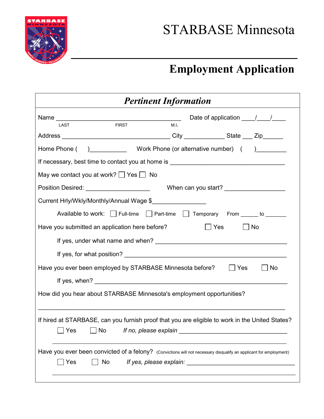

## **Employment Application**

| <b>Pertinent Information</b>                                                                                                                                       |  |  |  |
|--------------------------------------------------------------------------------------------------------------------------------------------------------------------|--|--|--|
| Date of application $\frac{1}{\sqrt{1-\frac{1}{2}}}$<br><b>FIRST</b><br>M.I.<br>LAST                                                                               |  |  |  |
|                                                                                                                                                                    |  |  |  |
|                                                                                                                                                                    |  |  |  |
|                                                                                                                                                                    |  |  |  |
| May we contact you at work? $\Box$ Yes $\Box$ No                                                                                                                   |  |  |  |
| Position Desired: ______________________<br>When can you start? _____________________                                                                              |  |  |  |
| Current Hrly/Wkly/Monthly/Annual Wage \$                                                                                                                           |  |  |  |
| Available to work: Full-time Part-time Temporary From _____ to ______                                                                                              |  |  |  |
| $\Box$ Yes<br>Have you submitted an application here before?<br>$\bigsqcup$ No                                                                                     |  |  |  |
|                                                                                                                                                                    |  |  |  |
|                                                                                                                                                                    |  |  |  |
| Have you ever been employed by STARBASE Minnesota before?   Ses<br>  No                                                                                            |  |  |  |
|                                                                                                                                                                    |  |  |  |
| How did you hear about STARBASE Minnesota's employment opportunities?                                                                                              |  |  |  |
| If hired at STARBASE, can you furnish proof that you are eligible to work in the United States?<br>□ Yes □ No  If no, please explain <u>______________________</u> |  |  |  |
| Have you ever been convicted of a felony? (Convictions will not necessary disqualify an applicant for employment)<br>Yes<br>No                                     |  |  |  |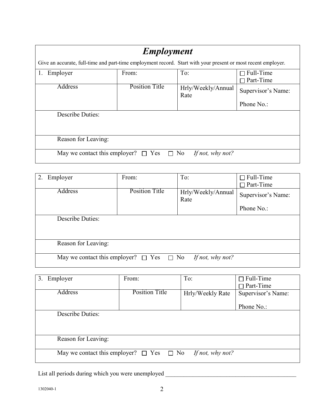| <b>Employment</b>                                                                                             |                       |                            |                                                           |
|---------------------------------------------------------------------------------------------------------------|-----------------------|----------------------------|-----------------------------------------------------------|
| Give an accurate, full-time and part-time employment record. Start with your present or most recent employer. |                       |                            |                                                           |
| Employer<br>1.                                                                                                | From:                 | To:                        | $\Box$ Full-Time<br>Part-Time<br>$\overline{\phantom{a}}$ |
| Address                                                                                                       | <b>Position Title</b> | Hrly/Weekly/Annual<br>Rate | Supervisor's Name:                                        |
|                                                                                                               |                       |                            | Phone No.:                                                |
| <b>Describe Duties:</b>                                                                                       |                       |                            |                                                           |
| Reason for Leaving:                                                                                           |                       |                            |                                                           |
| May we contact this employer? $\Box$ Yes<br>$\Box$ No<br>If not, why not?                                     |                       |                            |                                                           |

| Employer                                                               | From:                 | To:                        | $\Box$ Full-Time   |
|------------------------------------------------------------------------|-----------------------|----------------------------|--------------------|
|                                                                        |                       |                            | $\Box$ Part-Time   |
| <b>Address</b>                                                         | <b>Position Title</b> | Hrly/Weekly/Annual<br>Rate | Supervisor's Name: |
|                                                                        |                       |                            | Phone No.:         |
| <b>Describe Duties:</b>                                                |                       |                            |                    |
| Reason for Leaving:                                                    |                       |                            |                    |
| May we contact this employer? $\Box$ Yes $\Box$ No<br>If not, why not? |                       |                            |                    |

| Employer<br>3.                                                         | From:                 | To:              | $\Box$ Full-Time   |
|------------------------------------------------------------------------|-----------------------|------------------|--------------------|
|                                                                        |                       |                  | $\Box$ Part-Time   |
| <b>Address</b>                                                         | <b>Position Title</b> | Hrly/Weekly Rate | Supervisor's Name: |
|                                                                        |                       |                  |                    |
|                                                                        |                       |                  | Phone No.:         |
| <b>Describe Duties:</b>                                                |                       |                  |                    |
|                                                                        |                       |                  |                    |
|                                                                        |                       |                  |                    |
| Reason for Leaving:                                                    |                       |                  |                    |
|                                                                        |                       |                  |                    |
| May we contact this employer? $\Box$ Yes $\Box$ No<br>If not, why not? |                       |                  |                    |
|                                                                        |                       |                  |                    |

List all periods during which you were unemployed \_\_\_\_\_\_\_\_\_\_\_\_\_\_\_\_\_\_\_\_\_\_\_\_\_\_\_\_\_\_\_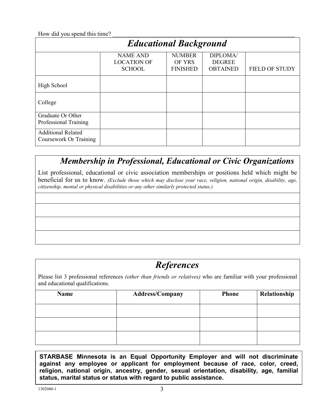How did you spend this time?

| <b>Educational Background</b>                       |                                                        |                                            |                                              |                       |
|-----------------------------------------------------|--------------------------------------------------------|--------------------------------------------|----------------------------------------------|-----------------------|
|                                                     | <b>NAME AND</b><br><b>LOCATION OF</b><br><b>SCHOOL</b> | <b>NUMBER</b><br>OF YRS<br><b>FINISHED</b> | DIPLOMA/<br><b>DEGREE</b><br><b>OBTAINED</b> | <b>FIELD OF STUDY</b> |
| High School                                         |                                                        |                                            |                                              |                       |
| College                                             |                                                        |                                            |                                              |                       |
| Graduate Or Other<br>Professional Training          |                                                        |                                            |                                              |                       |
| <b>Additional Related</b><br>Coursework Or Training |                                                        |                                            |                                              |                       |

## *Membership in Professional, Educational or Civic Organizations*

List professional, educational or civic association memberships or positions held which might be beneficial for us to know. *(Exclude those which may disclose your race, religion, national origin, disability, age, citizenship, mental or physical disabilities or any other similarly protected status.)*

## *References*

Please list 3 professional references *(other than friends or relatives)* who are familiar with your professional and educational qualifications.

| <b>Name</b> | <b>Address/Company</b> | <b>Phone</b> | Relationship |
|-------------|------------------------|--------------|--------------|
|             |                        |              |              |
|             |                        |              |              |
|             |                        |              |              |

**STARBASE Minnesota is an Equal Opportunity Employer and will not discriminate against any employee or applicant for employment because of race, color, creed, religion, national origin, ancestry, gender, sexual orientation, disability, age, familial status, marital status or status with regard to public assistance.**